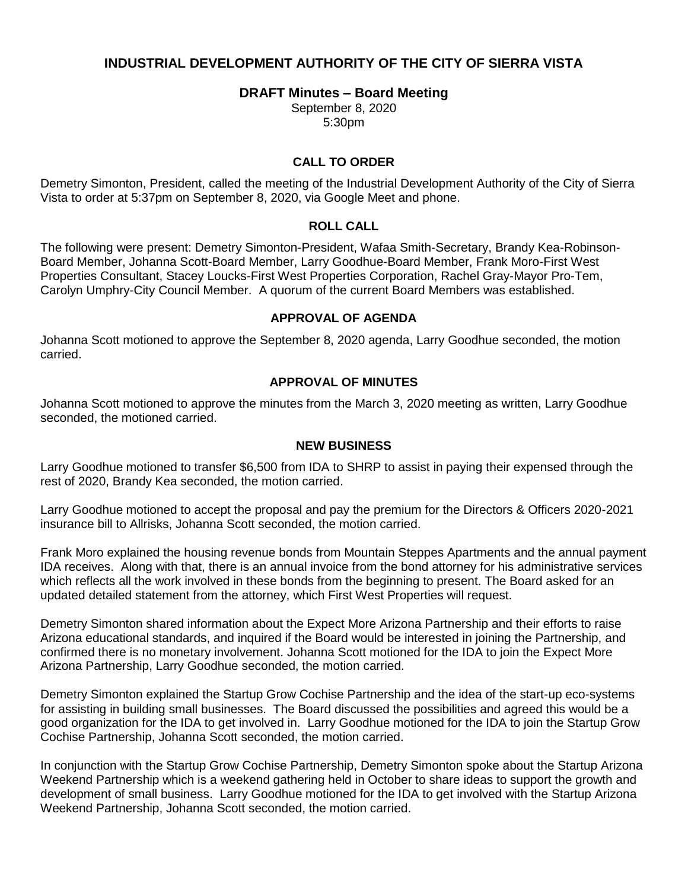# **INDUSTRIAL DEVELOPMENT AUTHORITY OF THE CITY OF SIERRA VISTA**

### **DRAFT Minutes – Board Meeting**

September 8, 2020 5:30pm

### **CALL TO ORDER**

Demetry Simonton, President, called the meeting of the Industrial Development Authority of the City of Sierra Vista to order at 5:37pm on September 8, 2020, via Google Meet and phone.

#### **ROLL CALL**

The following were present: Demetry Simonton-President, Wafaa Smith-Secretary, Brandy Kea-Robinson-Board Member, Johanna Scott-Board Member, Larry Goodhue-Board Member, Frank Moro-First West Properties Consultant, Stacey Loucks-First West Properties Corporation, Rachel Gray-Mayor Pro-Tem, Carolyn Umphry-City Council Member. A quorum of the current Board Members was established.

#### **APPROVAL OF AGENDA**

Johanna Scott motioned to approve the September 8, 2020 agenda, Larry Goodhue seconded, the motion carried.

#### **APPROVAL OF MINUTES**

Johanna Scott motioned to approve the minutes from the March 3, 2020 meeting as written, Larry Goodhue seconded, the motioned carried.

#### **NEW BUSINESS**

Larry Goodhue motioned to transfer \$6,500 from IDA to SHRP to assist in paying their expensed through the rest of 2020, Brandy Kea seconded, the motion carried.

Larry Goodhue motioned to accept the proposal and pay the premium for the Directors & Officers 2020-2021 insurance bill to Allrisks, Johanna Scott seconded, the motion carried.

Frank Moro explained the housing revenue bonds from Mountain Steppes Apartments and the annual payment IDA receives. Along with that, there is an annual invoice from the bond attorney for his administrative services which reflects all the work involved in these bonds from the beginning to present. The Board asked for an updated detailed statement from the attorney, which First West Properties will request.

Demetry Simonton shared information about the Expect More Arizona Partnership and their efforts to raise Arizona educational standards, and inquired if the Board would be interested in joining the Partnership, and confirmed there is no monetary involvement. Johanna Scott motioned for the IDA to join the Expect More Arizona Partnership, Larry Goodhue seconded, the motion carried.

Demetry Simonton explained the Startup Grow Cochise Partnership and the idea of the start-up eco-systems for assisting in building small businesses. The Board discussed the possibilities and agreed this would be a good organization for the IDA to get involved in. Larry Goodhue motioned for the IDA to join the Startup Grow Cochise Partnership, Johanna Scott seconded, the motion carried.

In conjunction with the Startup Grow Cochise Partnership, Demetry Simonton spoke about the Startup Arizona Weekend Partnership which is a weekend gathering held in October to share ideas to support the growth and development of small business. Larry Goodhue motioned for the IDA to get involved with the Startup Arizona Weekend Partnership, Johanna Scott seconded, the motion carried.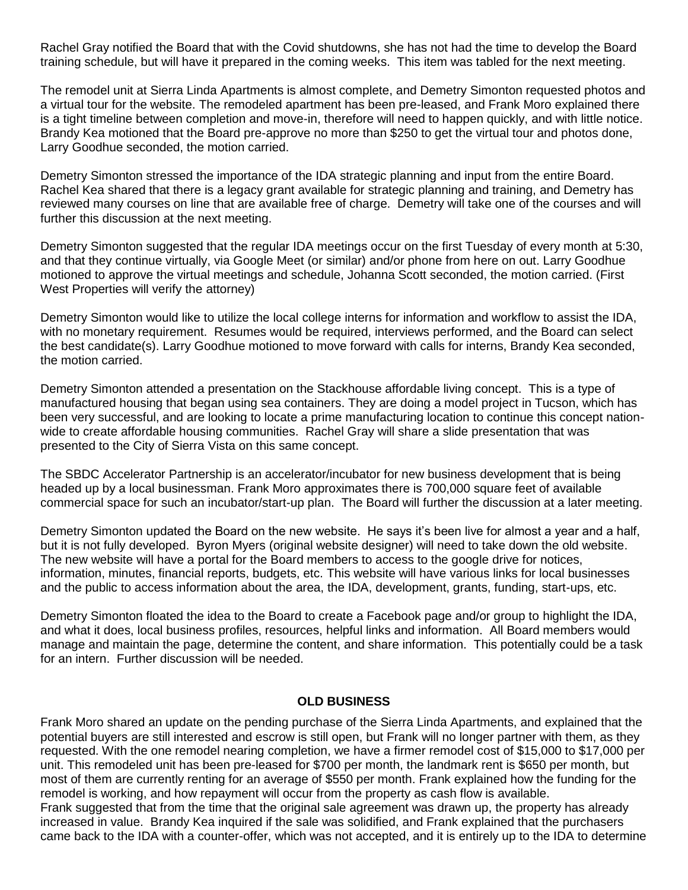Rachel Gray notified the Board that with the Covid shutdowns, she has not had the time to develop the Board training schedule, but will have it prepared in the coming weeks. This item was tabled for the next meeting.

The remodel unit at Sierra Linda Apartments is almost complete, and Demetry Simonton requested photos and a virtual tour for the website. The remodeled apartment has been pre-leased, and Frank Moro explained there is a tight timeline between completion and move-in, therefore will need to happen quickly, and with little notice. Brandy Kea motioned that the Board pre-approve no more than \$250 to get the virtual tour and photos done, Larry Goodhue seconded, the motion carried.

Demetry Simonton stressed the importance of the IDA strategic planning and input from the entire Board. Rachel Kea shared that there is a legacy grant available for strategic planning and training, and Demetry has reviewed many courses on line that are available free of charge. Demetry will take one of the courses and will further this discussion at the next meeting.

Demetry Simonton suggested that the regular IDA meetings occur on the first Tuesday of every month at 5:30, and that they continue virtually, via Google Meet (or similar) and/or phone from here on out. Larry Goodhue motioned to approve the virtual meetings and schedule, Johanna Scott seconded, the motion carried. (First West Properties will verify the attorney)

Demetry Simonton would like to utilize the local college interns for information and workflow to assist the IDA, with no monetary requirement. Resumes would be required, interviews performed, and the Board can select the best candidate(s). Larry Goodhue motioned to move forward with calls for interns, Brandy Kea seconded, the motion carried.

Demetry Simonton attended a presentation on the Stackhouse affordable living concept. This is a type of manufactured housing that began using sea containers. They are doing a model project in Tucson, which has been very successful, and are looking to locate a prime manufacturing location to continue this concept nationwide to create affordable housing communities. Rachel Gray will share a slide presentation that was presented to the City of Sierra Vista on this same concept.

The SBDC Accelerator Partnership is an accelerator/incubator for new business development that is being headed up by a local businessman. Frank Moro approximates there is 700,000 square feet of available commercial space for such an incubator/start-up plan. The Board will further the discussion at a later meeting.

Demetry Simonton updated the Board on the new website. He says it's been live for almost a year and a half, but it is not fully developed. Byron Myers (original website designer) will need to take down the old website. The new website will have a portal for the Board members to access to the google drive for notices, information, minutes, financial reports, budgets, etc. This website will have various links for local businesses and the public to access information about the area, the IDA, development, grants, funding, start-ups, etc.

Demetry Simonton floated the idea to the Board to create a Facebook page and/or group to highlight the IDA, and what it does, local business profiles, resources, helpful links and information. All Board members would manage and maintain the page, determine the content, and share information. This potentially could be a task for an intern. Further discussion will be needed.

#### **OLD BUSINESS**

Frank Moro shared an update on the pending purchase of the Sierra Linda Apartments, and explained that the potential buyers are still interested and escrow is still open, but Frank will no longer partner with them, as they requested. With the one remodel nearing completion, we have a firmer remodel cost of \$15,000 to \$17,000 per unit. This remodeled unit has been pre-leased for \$700 per month, the landmark rent is \$650 per month, but most of them are currently renting for an average of \$550 per month. Frank explained how the funding for the remodel is working, and how repayment will occur from the property as cash flow is available. Frank suggested that from the time that the original sale agreement was drawn up, the property has already increased in value. Brandy Kea inquired if the sale was solidified, and Frank explained that the purchasers came back to the IDA with a counter-offer, which was not accepted, and it is entirely up to the IDA to determine